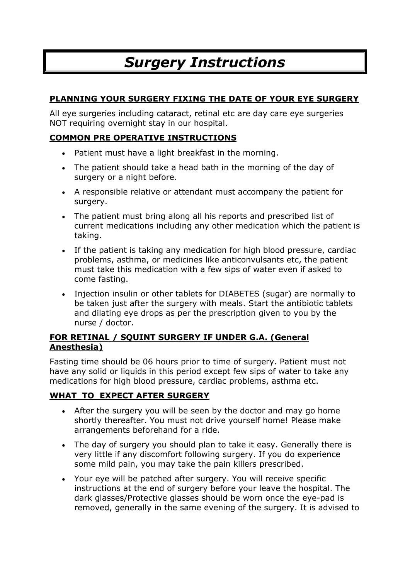# *Surgery Instructions*

# **PLANNING YOUR SURGERY FIXING THE DATE OF YOUR EYE SURGERY**

All eye surgeries including cataract, retinal etc are day care eye surgeries NOT requiring overnight stay in our hospital.

# **COMMON PRE OPERATIVE INSTRUCTIONS**

- Patient must have a light breakfast in the morning.
- The patient should take a head bath in the morning of the day of surgery or a night before.
- A responsible relative or attendant must accompany the patient for surgery.
- The patient must bring along all his reports and prescribed list of current medications including any other medication which the patient is taking.
- If the patient is taking any medication for high blood pressure, cardiac problems, asthma, or medicines like anticonvulsants etc, the patient must take this medication with a few sips of water even if asked to come fasting.
- Injection insulin or other tablets for DIABETES (sugar) are normally to be taken just after the surgery with meals. Start the antibiotic tablets and dilating eye drops as per the prescription given to you by the nurse / doctor.

## **FOR RETINAL / SQUINT SURGERY IF UNDER G.A. (General Anesthesia)**

Fasting time should be 06 hours prior to time of surgery. Patient must not have any solid or liquids in this period except few sips of water to take any medications for high blood pressure, cardiac problems, asthma etc.

## **WHAT TO EXPECT AFTER SURGERY**

- After the surgery you will be seen by the doctor and may go home shortly thereafter. You must not drive yourself home! Please make arrangements beforehand for a ride.
- The day of surgery you should plan to take it easy. Generally there is very little if any discomfort following surgery. If you do experience some mild pain, you may take the pain killers prescribed.
- Your eye will be patched after surgery. You will receive specific instructions at the end of surgery before your leave the hospital. The dark glasses/Protective glasses should be worn once the eye-pad is removed, generally in the same evening of the surgery. It is advised to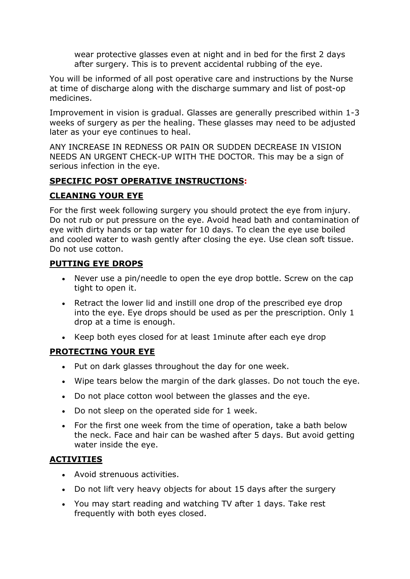wear protective glasses even at night and in bed for the first 2 days after surgery. This is to prevent accidental rubbing of the eye.

You will be informed of all post operative care and instructions by the Nurse at time of discharge along with the discharge summary and list of post-op medicines.

Improvement in vision is gradual. Glasses are generally prescribed within 1-3 weeks of surgery as per the healing. These glasses may need to be adjusted later as your eye continues to heal.

ANY INCREASE IN REDNESS OR PAIN OR SUDDEN DECREASE IN VISION NEEDS AN URGENT CHECK-UP WITH THE DOCTOR. This may be a sign of serious infection in the eye.

#### **SPECIFIC POST OPERATIVE INSTRUCTIONS:**

## **CLEANING YOUR EYE**

For the first week following surgery you should protect the eye from injury. Do not rub or put pressure on the eye. Avoid head bath and contamination of eye with dirty hands or tap water for 10 days. To clean the eye use boiled and cooled water to wash gently after closing the eye. Use clean soft tissue. Do not use cotton.

#### **PUTTING EYE DROPS**

- Never use a pin/needle to open the eye drop bottle. Screw on the cap tight to open it.
- Retract the lower lid and instill one drop of the prescribed eye drop into the eye. Eye drops should be used as per the prescription. Only 1 drop at a time is enough.
- Keep both eyes closed for at least 1minute after each eye drop

## **PROTECTING YOUR EYE**

- Put on dark glasses throughout the day for one week.
- Wipe tears below the margin of the dark glasses. Do not touch the eye.
- Do not place cotton wool between the glasses and the eye.
- Do not sleep on the operated side for 1 week.
- For the first one week from the time of operation, take a bath below the neck. Face and hair can be washed after 5 days. But avoid getting water inside the eye.

## **ACTIVITIES**

- Avoid strenuous activities.
- Do not lift very heavy objects for about 15 days after the surgery
- You may start reading and watching TV after 1 days. Take rest frequently with both eyes closed.